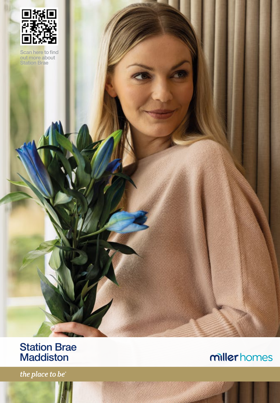

Scan here to find out more about Station Brae

### Station Brae Maddiston

the place to be

# millerhomes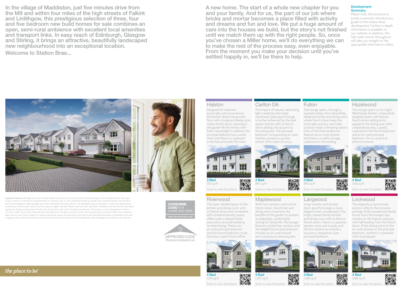In the village of Maddiston, just five minutes drive from the M9 and within four miles of the high streets of Falkirk and Linlithgow, this prestigious selection of three, four and five bedroom new build homes for sale combines an open, semi-rural ambience with excellent local amenities and transport links. In easy reach of Edinburgh, Glasgow and Stirling, it brings an attractive, beautifully landscaped new neighbourhood into an exceptional location.

Welcome to Station Brae...

A new home. The start of a whole new chapter for you and your family. And for us, the part of our job where bricks and mortar becomes a place filled with activity and dreams and fun and love. We put a huge amount of care into the houses we build, but the story's not finished until we match them up with the right people. So, once you've chosen a Miller home, we'll do everything we can to make the rest of the process easy, even enjoyable. From the moment you make your decision until you've settled happily in, we'll be there to help.

Carlton DA

The impact of natural, welcoming light created by the triplewindowed, dual aspect lounge is further enhanced by the dual aspect kitchen with its french doors adding a focal point to the dining area. The principal bedroom, incorporating en-suite facilities, presents a private retreat with a dash of luxury.

#### Development **Summary**

Please note, this brochure is purely a summary introductory guide to the Station Brae development. Further in-depth information is available on our website. In addition, the QR codes shown throughout will take you straight to the appropriate information online.

# HH الأكافيا

Important Notice: Although every care has been taken to ensure the accuracy of all the information given, the contents do not form part of any contract, or constitute a representation or warranty, and, as such, should be treated as a guide only. Interested parties should check with the Development Sales Manager and confirm all details with their solicitor. The developer reserves the right to amend the specification, as necessary, without prior notice, but to an equal or higher standard. Please note that items specified in literature and showhomes may depict appliances, fittings and decorative finishes that do not form part of the standard specification. The project is a new development which is currently under construction. Measurements provided have not been surveyed on-site. The measurements have been taken from architect's plans, and, as such, may be subject to variation during the course of construction. Not all the units described have been completed at the time of going to print and measurements and dimensions should be checked with the Development Sales Manager and confirmed with solicitors.





#### Halston

Designed for maximum practicality and convenience, the kitchen shares the ground floor with a living and dining room where french doors opening to the garden fill the interior with fresh, natural light. In addition the principal bedroom has a useful store, and there is a cupboard in the hall and under the stairs.



Scan to view floorplans

#### Riverwood

The open, flexible layout of the kitchen and dining room, with its french doors and convenient self-contained laundry space, offers both a relaxed family area and a convivial backdrop to entertaining. There is an en-suite principal bedroom and the fourth bedroom could become a useful home office.



1,219 sq ft

Scan to view floorpla



the delightful principal bedroom includes an en-suite shower and a sumptuous dressing area.





回線回

醱

#### Langwood A bay window and double doors give the lounge a classic elegance that complements' the bright, relaxed family kitchen and dining room with its feature

luxurious L-shaped en-suite principal bedroom.

Scan to view floorplans

m

H

3 Bed 900 sq ft

4 Bed 1,349 sq ft

**Fulton** 

The lounge opens, through a separate lobby, into a beautifully designed kitchen and dining room where french doors keep the room light and airy, and make outdoor meals a tempting option. One of the three bedrooms features an en-suite shower and there is a useful storage cupboard on the landing.

#### Lockwood

can to view floorpla

回線回

4 Bed 1,150 sq ft

Hazelwood

The lounge opens on to a lightfilled family kitchen, a beautifully designed space with feature french doors adding extra appeal to the dining area. With a separate laundry, a useful cupboard in the fourth bedroom and an en-suite principal bedroom, this is a practical, attractive home.

The elegantly proportioned exterior reflects the immense prestige of this exceptional family home. From the lounge's bay window to the feature staircase with half landing, from the french doors of the dining room to the en-suite showers in the principal bedroom, comfort is combined with visual appeal.





口線口 回路 Scan to view floorpl

4 Bed 1,446 sq ft Scan to view floorplans



釅



釅

回怒回

3 Bed 897 sq ft

Scan to view floorplans



醪 ПS.

回波回

french doors. There is a separate laundry room and a study, and the four bedrooms include a

回探回

▓▓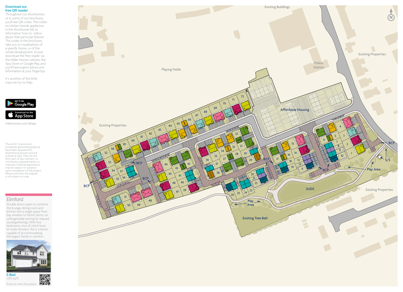#### Download our free QR reader

Throughout our showhomes, or in some of our brochures, you'll see QR codes. The codes on stickers beside appliances in the showhome link to informative 'how to' videos about that particular feature. The codes in the brochures take you to visualisations of a specific home, or of the whole development. So just download the free reader via the Miller Homes website, the App Store or Google Play, and you'll have expert advice and information at your fingertips.

It's another of the little ways we try to help.



millerhomes.co.uk/QRapp

The artist's impressions (computer-generated graphics) have been prepared for illustrative purposes and are indicative only. They do not form part of any contract, or constitute a representation or warranty. External appearance may be subject to variation upon completion of the project. Please note that the siteplan is not drawn to scale.

#### Elmford

Double doors open to combine the lounge, dining room and kitchen into a single space from bay window to french doors, an unforgettable setting for relaxed social gatherings. With five bedrooms, two of which have en-suite showers, this is a home capable of accommodating the largest family in comfort.